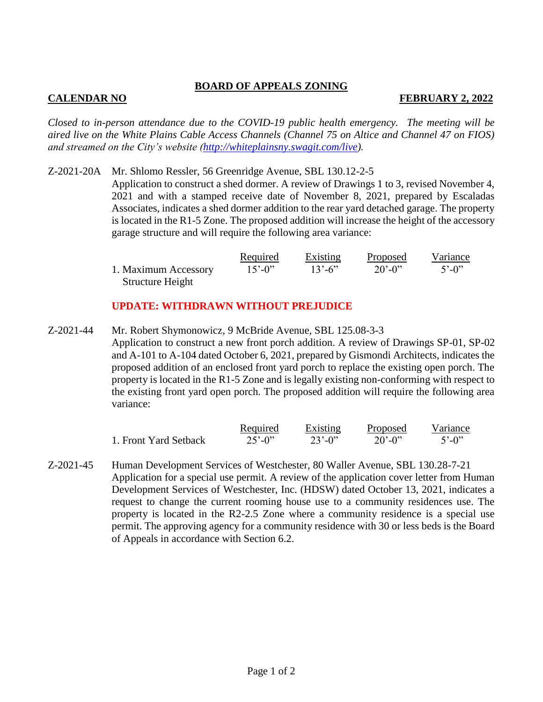## **BOARD OF APPEALS ZONING**

## **CALENDAR NO FEBRUARY 2, 2022**

*Closed to in-person attendance due to the COVID-19 public health emergency. The meeting will be aired live on the White Plains Cable Access Channels (Channel 75 on Altice and Channel 47 on FIOS) and streamed on the City's website [\(http://whiteplainsny.swagit.com/live\)](http://whiteplainsny.swagit.com/live).*

Z-2021-20A Mr. Shlomo Ressler, 56 Greenridge Avenue, SBL 130.12-2-5 Application to construct a shed dormer. A review of Drawings 1 to 3, revised November 4, 2021 and with a stamped receive date of November 8, 2021, prepared by Escaladas Associates, indicates a shed dormer addition to the rear yard detached garage. The property is located in the R1-5 Zone. The proposed addition will increase the height of the accessory garage structure and will require the following area variance:

|                      | Required                 | <b>Existing</b>          | Proposed    | Variance                |
|----------------------|--------------------------|--------------------------|-------------|-------------------------|
| 1. Maximum Accessory | $15^{\circ} - 0^{\circ}$ | $13^{\circ} - 6^{\circ}$ | $20' - 0''$ | $5^{\circ} - 0^{\circ}$ |
| Structure Height     |                          |                          |             |                         |

## **UPDATE: WITHDRAWN WITHOUT PREJUDICE**

Z-2021-44 Mr. Robert Shymonowicz, 9 McBride Avenue, SBL 125.08-3-3 Application to construct a new front porch addition. A review of Drawings SP-01, SP-02 and A-101 to A-104 dated October 6, 2021, prepared by Gismondi Architects, indicates the proposed addition of an enclosed front yard porch to replace the existing open porch. The property is located in the R1-5 Zone and is legally existing non-conforming with respect to the existing front yard open porch. The proposed addition will require the following area variance:

|                       | Required                 | Existing                 | Proposed    | Variance                |
|-----------------------|--------------------------|--------------------------|-------------|-------------------------|
| 1. Front Yard Setback | $25^{\circ} - 0^{\circ}$ | $23^{\circ} - 0^{\circ}$ | $20' - 0''$ | $5^{\circ} - 0^{\circ}$ |

Z-2021-45 Human Development Services of Westchester, 80 Waller Avenue, SBL 130.28-7-21 Application for a special use permit. A review of the application cover letter from Human Development Services of Westchester, Inc. (HDSW) dated October 13, 2021, indicates a request to change the current rooming house use to a community residences use. The property is located in the R2-2.5 Zone where a community residence is a special use permit. The approving agency for a community residence with 30 or less beds is the Board of Appeals in accordance with Section 6.2.